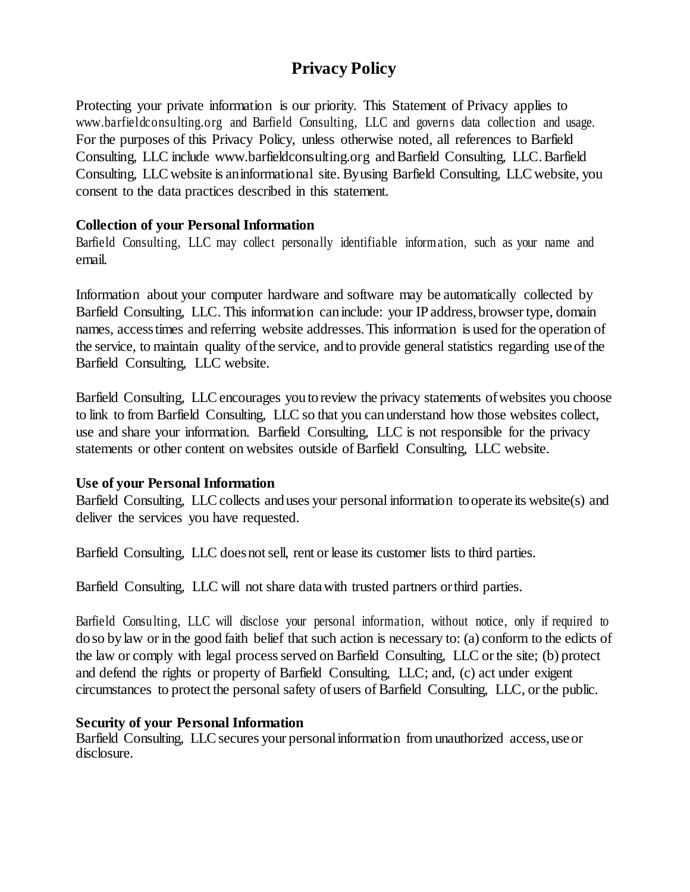# **Privacy Policy**

Protecting your private information is our priority. This Statement of Privacy applies to [www.barfieldconsulting.org a](http://www.barfieldconsulting.org/)nd Barfield Consulting, LLC and governs data collection and usage. For the purposes of this Privacy Policy, unless otherwise noted, all references to Barfield Consulting, LLC include [www.barfieldconsulting.org](http://www.barfieldconsulting.org/) andBarfield Consulting, LLC.Barfield Consulting, LLC website is aninformational site. Byusing Barfield Consulting, LLC website, you consent to the data practices described in this statement.

## **Collection of your Personal Information**

Barfield Consulting, LLC may collect personally identifiable information, such as your name and email.

Information about your computer hardware and software may be automatically collected by Barfield Consulting, LLC. This information can include: your IPaddress, browser type, domain names, accesstimes and referring website addresses.This information is used for the operation of the service, to maintain quality ofthe service, andto provide general statistics regarding useof the Barfield Consulting, LLC website.

Barfield Consulting, LLC encourages you to review the privacy statements of websites you choose to link to from Barfield Consulting, LLC so that you can understand how those websites collect, use and share your information. Barfield Consulting, LLC is not responsible for the privacy statements or other content on websites outside of Barfield Consulting, LLC website.

## **Use of your Personal Information**

Barfield Consulting, LLC collects and uses your personal information to operate its website(s) and deliver the services you have requested.

Barfield Consulting, LLC does not sell, rent or lease its customer lists to third parties.

Barfield Consulting, LLC will not share datawith trusted partners orthird parties.

Barfield Consulting, LLC will disclose your personal information, without notice, only if required to do so by law or in the good faith belief that such action is necessary to: (a) conform to the edicts of the law or comply with legal process served on Barfield Consulting, LLC or the site; (b) protect and defend the rights or property of Barfield Consulting, LLC; and, (c) act under exigent circumstances to protect the personal safety of users of Barfield Consulting, LLC, or the public.

## **Security of your Personal Information**

Barfield Consulting, LLC secures your personal information from unauthorized access, use or disclosure.